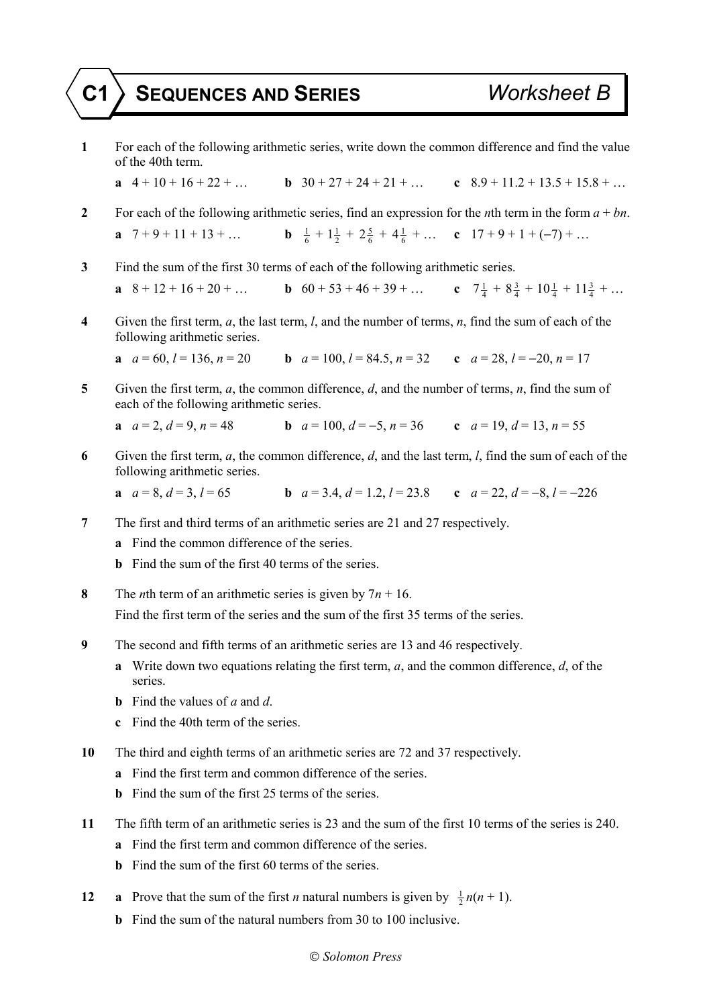## **C1 SEQUENCES AND SERIES** *Worksheet B*

- **1** For each of the following arithmetic series, write down the common difference and find the value of the 40th term.
	- **a**  $4 + 10 + 16 + 22 +$  **b**  $30 + 27 + 24 + 21 +$  **c**  $8.9 + 11.2 + 13.5 + 15.8 +$
- **2** For each of the following arithmetic series, find an expression for the *n*th term in the form *a* + *bn*. **a**  $7 + 9 + 11 + 13 + ...$  $\frac{1}{6} + 1\frac{1}{2} + 2\frac{5}{6} + 4\frac{1}{6} + \dots$  **c**  $17 + 9 + 1 + (-7) + \dots$
- **3** Find the sum of the first 30 terms of each of the following arithmetic series.

**a**  $8 + 12 + 16 + 20 + ...$  **b**  $60 + 53 + 46 + 39 + ...$  **c**  $7\frac{1}{4} + 8\frac{3}{4} + 10\frac{1}{4} + 11\frac{3}{4} + ...$ 

**4** Given the first term, *a*, the last term, *l*, and the number of terms, *n*, find the sum of each of the following arithmetic series.

**a** 
$$
a = 60
$$
,  $l = 136$ ,  $n = 20$    
**b**  $a = 100$ ,  $l = 84.5$ ,  $n = 32$    
**c**  $a = 28$ ,  $l = -20$ ,  $n = 17$ 

**5** Given the first term, *a*, the common difference, *d*, and the number of terms, *n*, find the sum of each of the following arithmetic series.

**a** 
$$
a = 2, d = 9, n = 48
$$
  
**b**  $a = 100, d = -5, n = 36$   
**c**  $a = 19, d = 13, n = 55$ 

**6** Given the first term, *a*, the common difference, *d*, and the last term, *l*, find the sum of each of the following arithmetic series.

**a**  $a = 8, d = 3, l = 65$  **b**  $a = 3.4, d = 1.2, l = 23.8$  **c**  $a = 22, d = -8, l = -226$ 

- **7** The first and third terms of an arithmetic series are 21 and 27 respectively.
	- **a** Find the common difference of the series.
	- **b** Find the sum of the first 40 terms of the series.
- **8** The *n*th term of an arithmetic series is given by  $7n + 16$ . Find the first term of the series and the sum of the first 35 terms of the series.
- **9** The second and fifth terms of an arithmetic series are 13 and 46 respectively.
	- **a** Write down two equations relating the first term, *a*, and the common difference, *d*, of the series.
	- **b** Find the values of *a* and *d*.
	- **c** Find the 40th term of the series.
- **10** The third and eighth terms of an arithmetic series are 72 and 37 respectively.
	- **a** Find the first term and common difference of the series.
	- **b** Find the sum of the first 25 terms of the series.
- **11** The fifth term of an arithmetic series is 23 and the sum of the first 10 terms of the series is 240.
	- **a** Find the first term and common difference of the series.
	- **b** Find the sum of the first 60 terms of the series.
- **12 a** Prove that the sum of the first *n* natural numbers is given by  $\frac{1}{2}n(n+1)$ .
	- **b** Find the sum of the natural numbers from 30 to 100 inclusive.